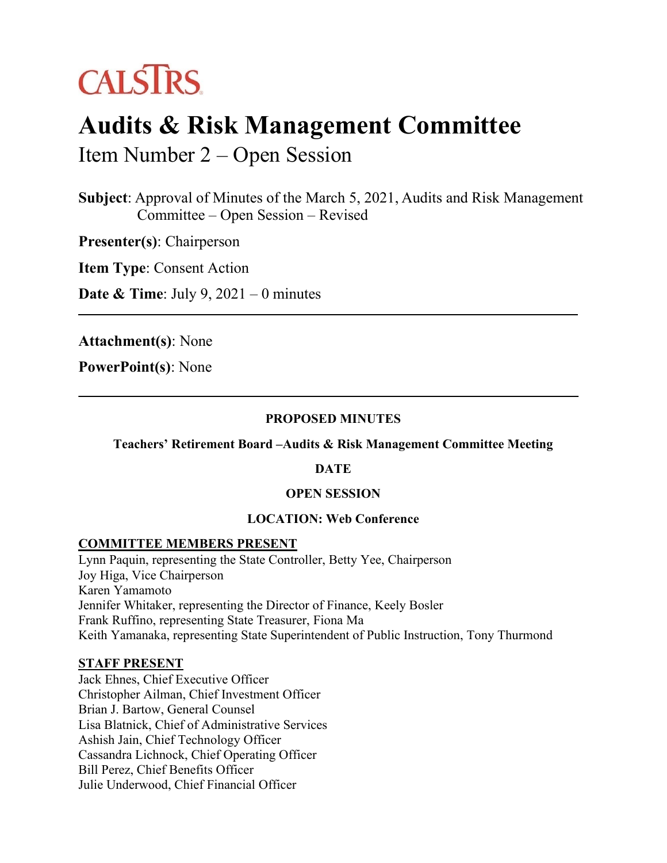

# **Audits & Risk Management Committee**

Item Number 2 – Open Session

**Subject**: Approval of Minutes of the March 5, 2021, Audits and Risk Management Committee – Open Session – Revised

**Presenter(s)**: Chairperson

**Item Type**: Consent Action

**Date & Time**: July 9, 2021 – 0 minutes

**Attachment(s)**: None

**PowerPoint(s)**: None

#### **PROPOSED MINUTES**

#### **Teachers' Retirement Board –Audits & Risk Management Committee Meeting**

#### **DATE**

#### **OPEN SESSION**

## **LOCATION: Web Conference**

## **COMMITTEE MEMBERS PRESENT**

Lynn Paquin, representing the State Controller, Betty Yee, Chairperson Joy Higa, Vice Chairperson Karen Yamamoto Jennifer Whitaker, representing the Director of Finance, Keely Bosler Frank Ruffino, representing State Treasurer, Fiona Ma Keith Yamanaka, representing State Superintendent of Public Instruction, Tony Thurmond

#### **STAFF PRESENT**

Jack Ehnes, Chief Executive Officer Christopher Ailman, Chief Investment Officer Brian J. Bartow, General Counsel Lisa Blatnick, Chief of Administrative Services Ashish Jain, Chief Technology Officer Cassandra Lichnock, Chief Operating Officer Bill Perez, Chief Benefits Officer Julie Underwood, Chief Financial Officer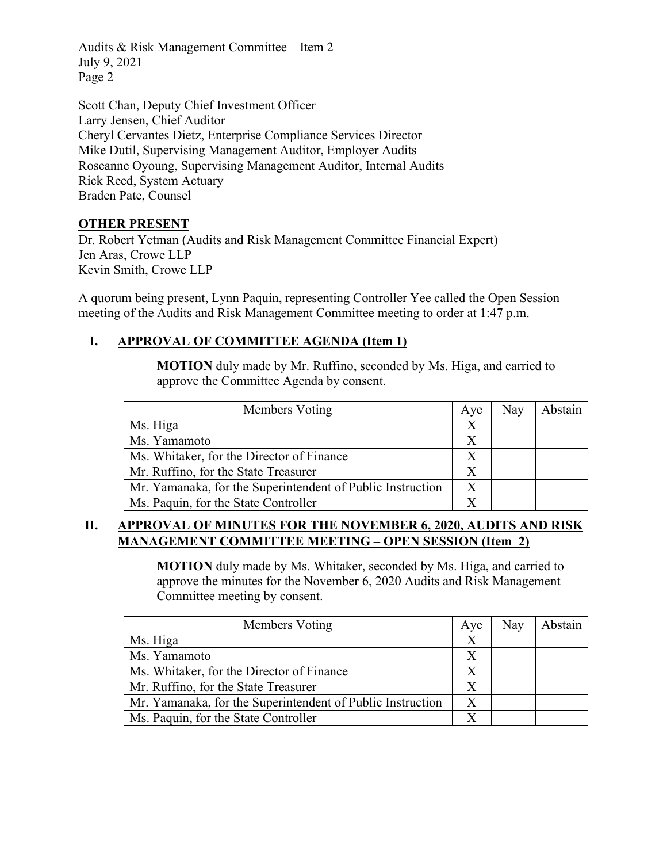Audits & Risk Management Committee – Item 2 July 9, 2021 Page 2

Scott Chan, Deputy Chief Investment Officer Larry Jensen, Chief Auditor Cheryl Cervantes Dietz, Enterprise Compliance Services Director Mike Dutil, Supervising Management Auditor, Employer Audits Roseanne Oyoung, Supervising Management Auditor, Internal Audits Rick Reed, System Actuary Braden Pate, Counsel

## **OTHER PRESENT**

Dr. Robert Yetman (Audits and Risk Management Committee Financial Expert) Jen Aras, Crowe LLP Kevin Smith, Crowe LLP

A quorum being present, Lynn Paquin, representing Controller Yee called the Open Session meeting of the Audits and Risk Management Committee meeting to order at 1:47 p.m.

# **I. APPROVAL OF COMMITTEE AGENDA (Item 1)**

**MOTION** duly made by Mr. Ruffino, seconded by Ms. Higa, and carried to approve the Committee Agenda by consent.

| Members Voting                                             | Ave | Nay | Abstain |
|------------------------------------------------------------|-----|-----|---------|
| Ms. Higa                                                   | X   |     |         |
| Ms. Yamamoto                                               | Х   |     |         |
| Ms. Whitaker, for the Director of Finance                  |     |     |         |
| Mr. Ruffino, for the State Treasurer                       | X   |     |         |
| Mr. Yamanaka, for the Superintendent of Public Instruction | X   |     |         |
| Ms. Paquin, for the State Controller                       |     |     |         |

## **II. APPROVAL OF MINUTES FOR THE NOVEMBER 6, 2020, AUDITS AND RISK MANAGEMENT COMMITTEE MEETING – OPEN SESSION (Item\_2)**

**MOTION** duly made by Ms. Whitaker, seconded by Ms. Higa, and carried to approve the minutes for the November 6, 2020 Audits and Risk Management Committee meeting by consent.

| Members Voting                                             | Ave | Nay | Abstain |
|------------------------------------------------------------|-----|-----|---------|
| Ms. Higa                                                   |     |     |         |
| Ms. Yamamoto                                               |     |     |         |
| Ms. Whitaker, for the Director of Finance                  |     |     |         |
| Mr. Ruffino, for the State Treasurer                       | X   |     |         |
| Mr. Yamanaka, for the Superintendent of Public Instruction | X   |     |         |
| Ms. Paquin, for the State Controller                       |     |     |         |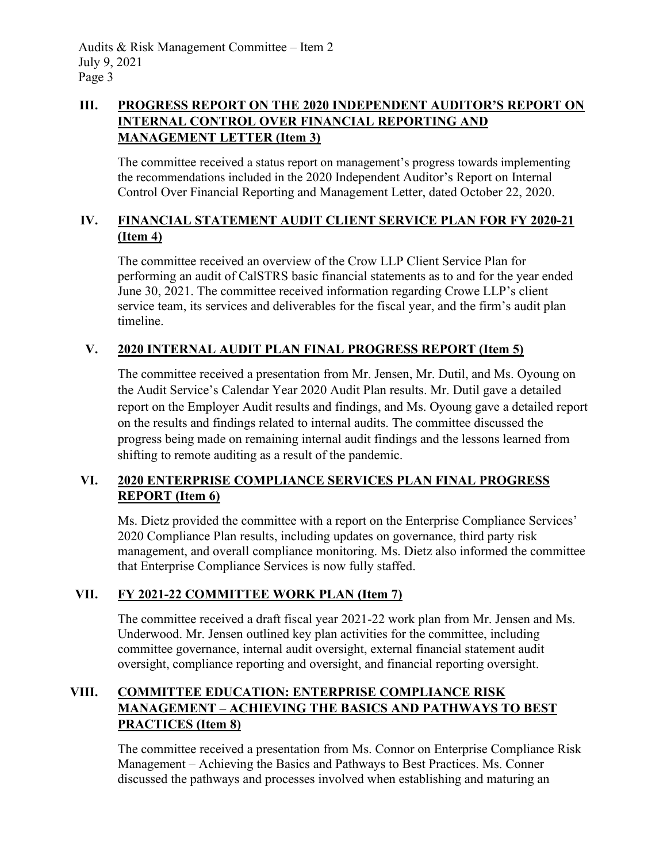# **III. PROGRESS REPORT ON THE 2020 INDEPENDENT AUDITOR'S REPORT ON INTERNAL CONTROL OVER FINANCIAL REPORTING AND MANAGEMENT LETTER (Item 3)**

The committee received a status report on management's progress towards implementing the recommendations included in the 2020 Independent Auditor's Report on Internal Control Over Financial Reporting and Management Letter, dated October 22, 2020.

# **IV. FINANCIAL STATEMENT AUDIT CLIENT SERVICE PLAN FOR FY 2020-21 (Item 4)**

The committee received an overview of the Crow LLP Client Service Plan for performing an audit of CalSTRS basic financial statements as to and for the year ended June 30, 2021. The committee received information regarding Crowe LLP's client service team, its services and deliverables for the fiscal year, and the firm's audit plan timeline.

# **V. 2020 INTERNAL AUDIT PLAN FINAL PROGRESS REPORT (Item 5)**

The committee received a presentation from Mr. Jensen, Mr. Dutil, and Ms. Oyoung on the Audit Service's Calendar Year 2020 Audit Plan results. Mr. Dutil gave a detailed report on the Employer Audit results and findings, and Ms. Oyoung gave a detailed report on the results and findings related to internal audits. The committee discussed the progress being made on remaining internal audit findings and the lessons learned from shifting to remote auditing as a result of the pandemic.

# **VI. 2020 ENTERPRISE COMPLIANCE SERVICES PLAN FINAL PROGRESS REPORT (Item 6)**

Ms. Dietz provided the committee with a report on the Enterprise Compliance Services' 2020 Compliance Plan results, including updates on governance, third party risk management, and overall compliance monitoring. Ms. Dietz also informed the committee that Enterprise Compliance Services is now fully staffed.

# **VII. FY 2021-22 COMMITTEE WORK PLAN (Item 7)**

The committee received a draft fiscal year 2021-22 work plan from Mr. Jensen and Ms. Underwood. Mr. Jensen outlined key plan activities for the committee, including committee governance, internal audit oversight, external financial statement audit oversight, compliance reporting and oversight, and financial reporting oversight.

# **VIII. COMMITTEE EDUCATION: ENTERPRISE COMPLIANCE RISK MANAGEMENT – ACHIEVING THE BASICS AND PATHWAYS TO BEST PRACTICES (Item 8)**

The committee received a presentation from Ms. Connor on Enterprise Compliance Risk Management – Achieving the Basics and Pathways to Best Practices. Ms. Conner discussed the pathways and processes involved when establishing and maturing an